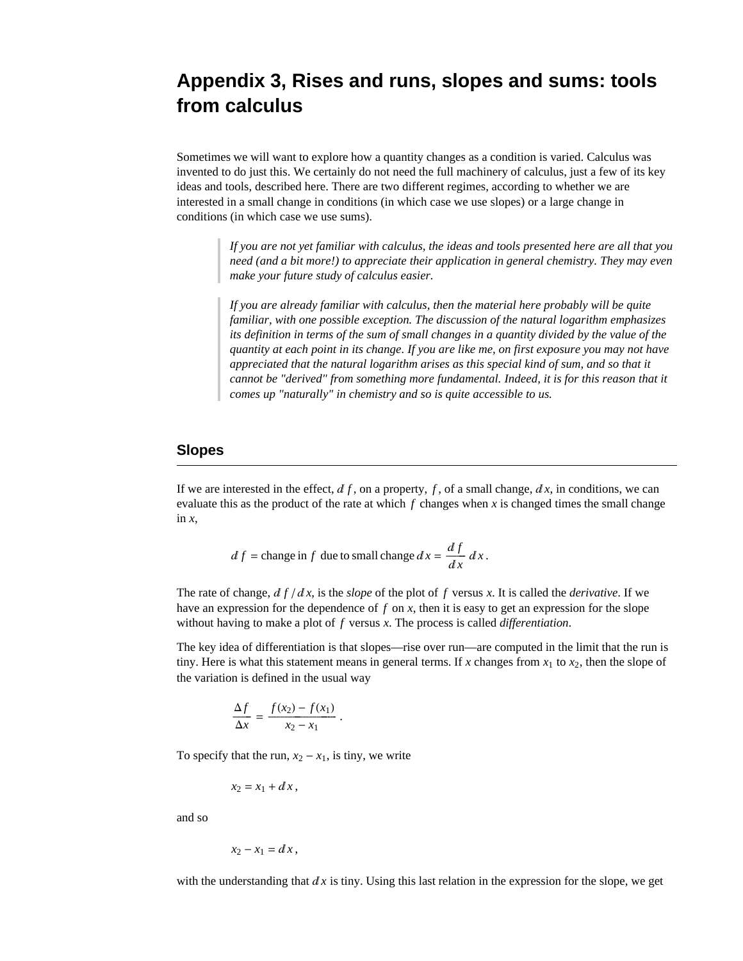# **Appendix 3, Rises and runs, slopes and sums: tools from calculus**

Sometimes we will want to explore how a quantity changes as a condition is varied. Calculus was invented to do just this. We certainly do not need the full machinery of calculus, just a few of its key ideas and tools, described here. There are two different regimes, according to whether we are interested in a small change in conditions (in which case we use slopes) or a large change in conditions (in which case we use sums).

> *If you are not yet familiar with calculus, the ideas and tools presented here are all that you need (and a bit more!) to appreciate their application in general chemistry. They may even make your future study of calculus easier.*

> *If you are already familiar with calculus, then the material here probably will be quite familiar, with one possible exception. The discussion of the natural logarithm emphasizes its definition in terms of the sum of small changes in a quantity divided by the value of the quantity at each point in its change. If you are like me, on first exposure you may not have appreciated that the natural logarithm arises as this special kind of sum, and so that it cannot be "derived" from something more fundamental. Indeed, it is for this reason that it comes up "naturally" in chemistry and so is quite accessible to us.*

### **Slopes**

If we are interested in the effect,  $df$ , on a property, f, of a small change,  $dx$ , in conditions, we can evaluate this as the product of the rate at which  $f$  changes when  $x$  is changed times the small change in *x*,

$$
df = \text{change in } f \text{ due to small change } dx = \frac{df}{dx} dx.
$$

.

The rate of change,  $df/dx$ , is the *slope* of the plot of f versus x. It is called the *derivative*. If we have an expression for the dependence of *f* on *x*, then it is easy to get an expression for the slope without having to make a plot of *f* versus *x*. The process is called *differentiation*.

The key idea of differentiation is that slopes—rise over run—are computed in the limit that the run is tiny. Here is what this statement means in general terms. If x changes from  $x_1$  to  $x_2$ , then the slope of the variation is defined in the usual way

$$
\frac{\Delta f}{\Delta x} = \frac{f(x_2) - f(x_1)}{x_2 - x_1}
$$

To specify that the run,  $x_2 - x_1$ , is tiny, we write

$$
x_2 = x_1 + dx,
$$

and so

$$
x_2-x_1 = dx,
$$

with the understanding that  $dx$  is tiny. Using this last relation in the expression for the slope, we get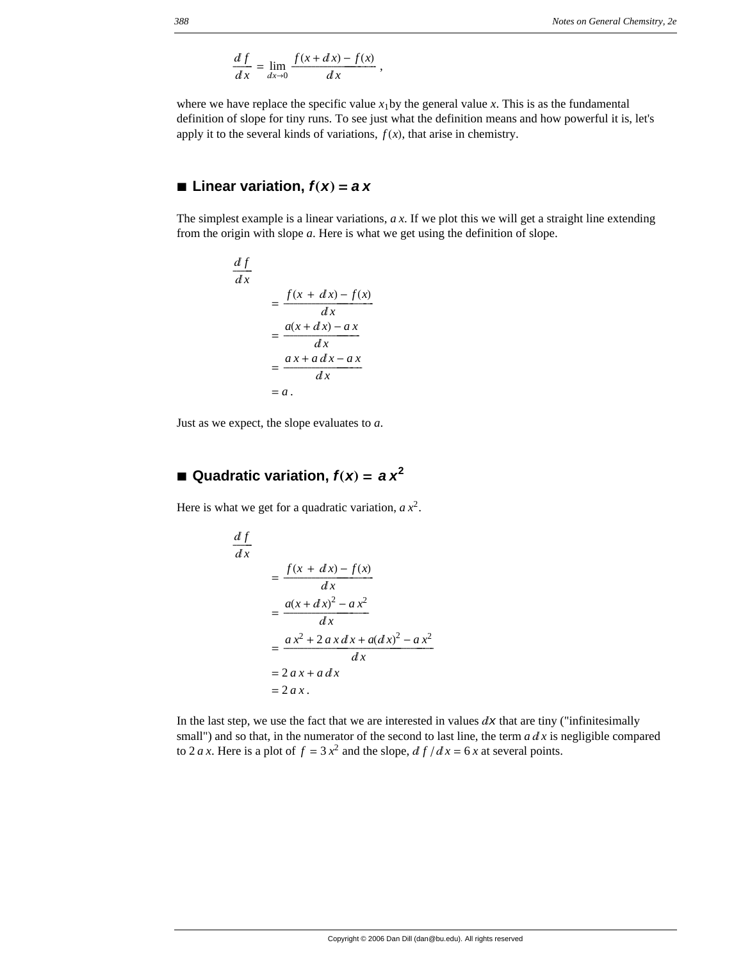$$
\frac{df}{dx} = \lim_{dx \to 0} \frac{f(x + dx) - f(x)}{dx},
$$

where we have replace the specific value  $x_1$  by the general value  $x$ . This is as the fundamental definition of slope for tiny runs. To see just what the definition means and how powerful it is, let's apply it to the several kinds of variations,  $f(x)$ , that arise in chemistry.

### $\blacksquare$  Linear variation,  $f(x) = ax$

The simplest example is a linear variations, *a x*. If we plot this we will get a straight line extending from the origin with slope *a*. Here is what we get using the definition of slope.

$$
\frac{df}{dx} = \frac{f(x + dx) - f(x)}{dx}
$$

$$
= \frac{a(x + dx) - ax}{dx}
$$

$$
= \frac{ax + adx - ax}{dx}
$$

$$
= a.
$$

Just as we expect, the slope evaluates to *a*.

## $\blacksquare$  Quadratic variation,  $f(x) = ax^2$

Here is what we get for a quadratic variation,  $a x^2$ .

$$
\frac{df}{dx} = \frac{f(x + dx) - f(x)}{dx}
$$

$$
= \frac{a(x + dx)^2 - ax^2}{dx}
$$

$$
= \frac{ax^2 + 2ax dx + a(dx)^2 - ax^2}{dx}
$$

$$
= 2ax + a dx
$$

$$
= 2ax.
$$

In the last step, we use the fact that we are interested in values  $dx$  that are tiny ("infinitesimally small") and so that, in the numerator of the second to last line, the term  $a dx$  is negligible compared to 2 *a x*. Here is a plot of  $f = 3x^2$  and the slope,  $df/dx = 6x$  at several points.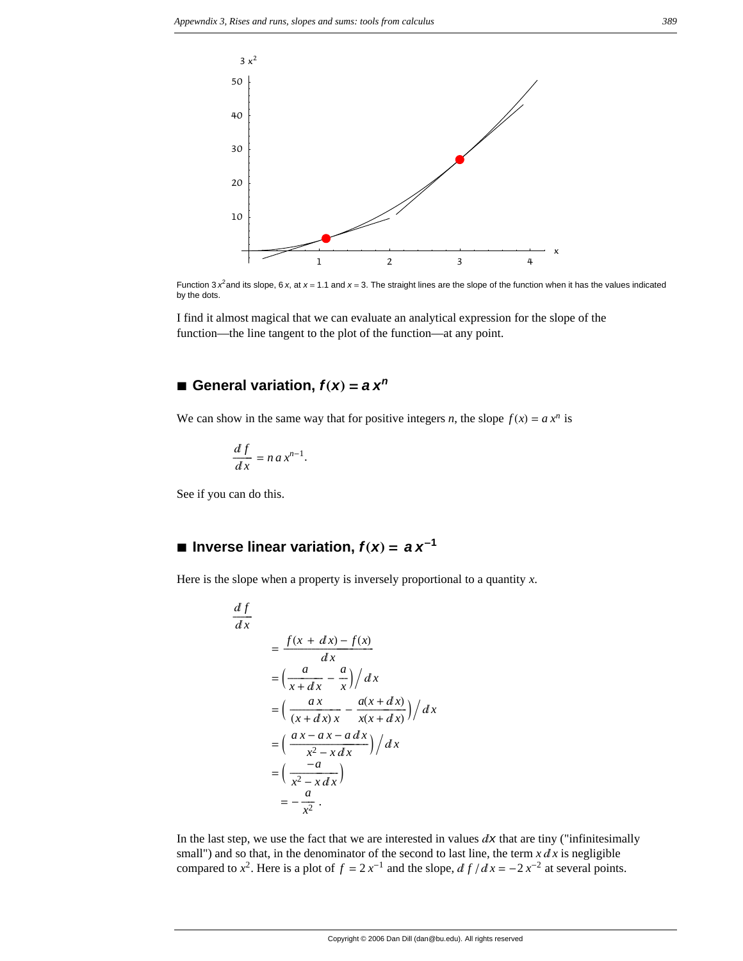

Function 3  $x^2$  and its slope, 6  $x$ , at  $x = 1.1$  and  $x = 3$ . The straight lines are the slope of the function when it has the values indicated by the dots.

I find it almost magical that we can evaluate an analytical expression for the slope of the function—the line tangent to the plot of the function—at any point.

### $\blacksquare$  General variation,  $f(x) = a x^n$

We can show in the same way that for positive integers *n*, the slope  $f(x) = a x^n$  is

$$
\frac{df}{dx} = n \, a \, x^{n-1}.
$$

See if you can do this.

## $\blacksquare$  Inverse linear variation,  $f(x) = ax^{-1}$

Here is the slope when a property is inversely proportional to a quantity *x*.

$$
\frac{df}{dx} = \frac{f(x + dx) - f(x)}{dx}
$$

$$
= \left(\frac{a}{x + dx} - \frac{a}{x}\right) / dx
$$

$$
= \left(\frac{ax}{(x + dx)x} - \frac{a(x + dx)}{x(x + dx)}\right) / dx
$$

$$
= \left(\frac{ax - ax - a dx}{x^2 - x dx}\right) / dx
$$

$$
= \left(\frac{-a}{x^2 - x dx}\right)
$$

$$
= -\frac{a}{x^2}.
$$

In the last step, we use the fact that we are interested in values  $dx$  that are tiny ("infinitesimally small") and so that, in the denominator of the second to last line, the term  $x \, dx$  is negligible compared to  $x^2$ . Here is a plot of  $f = 2x^{-1}$  and the slope,  $df/dx = -2x^{-2}$  at several points.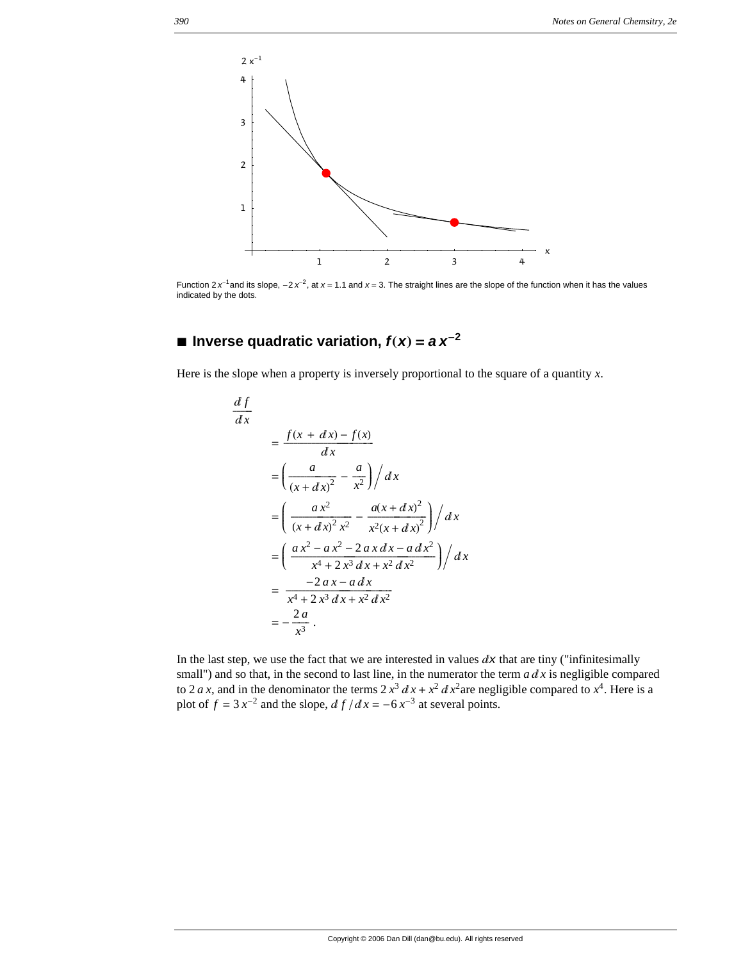

Function  $2 x^{-1}$  and its slope,  $-2 x^{-2}$ , at  $x = 1.1$  and  $x = 3$ . The straight lines are the slope of the function when it has the values indicated by the dots.

## $\blacksquare$  **Inverse quadratic variation,**  $f(x) = a x^{-2}$

Here is the slope when a property is inversely proportional to the square of a quantity *x*.

$$
\frac{df}{dx} = \frac{f(x + dx) - f(x)}{dx}
$$
  
\n
$$
= \left(\frac{a}{(x + dx)^2} - \frac{a}{x^2}\right) / dx
$$
  
\n
$$
= \left(\frac{ax^2}{(x + dx)^2 x^2} - \frac{a(x + dx)^2}{x^2 (x + dx)^2}\right) / dx
$$
  
\n
$$
= \left(\frac{ax^2 - ax^2 - 2ax dx - a dx^2}{x^4 + 2x^3 dx + x^2 dx^2}\right) / dx
$$
  
\n
$$
= \frac{-2ax - a dx}{x^4 + 2x^3 dx + x^2 dx^2}
$$
  
\n
$$
= -\frac{2a}{x^3}.
$$

In the last step, we use the fact that we are interested in values  $dx$  that are tiny ("infinitesimally small") and so that, in the second to last line, in the numerator the term  $a \, dx$  is negligible compared to 2 *a x*, and in the denominator the terms  $2 x^3 dx + x^2 dx^2$  are negligible compared to  $x^4$ . Here is a plot of  $f = 3x^{-2}$  and the slope,  $df/dx = -6x^{-3}$  at several points.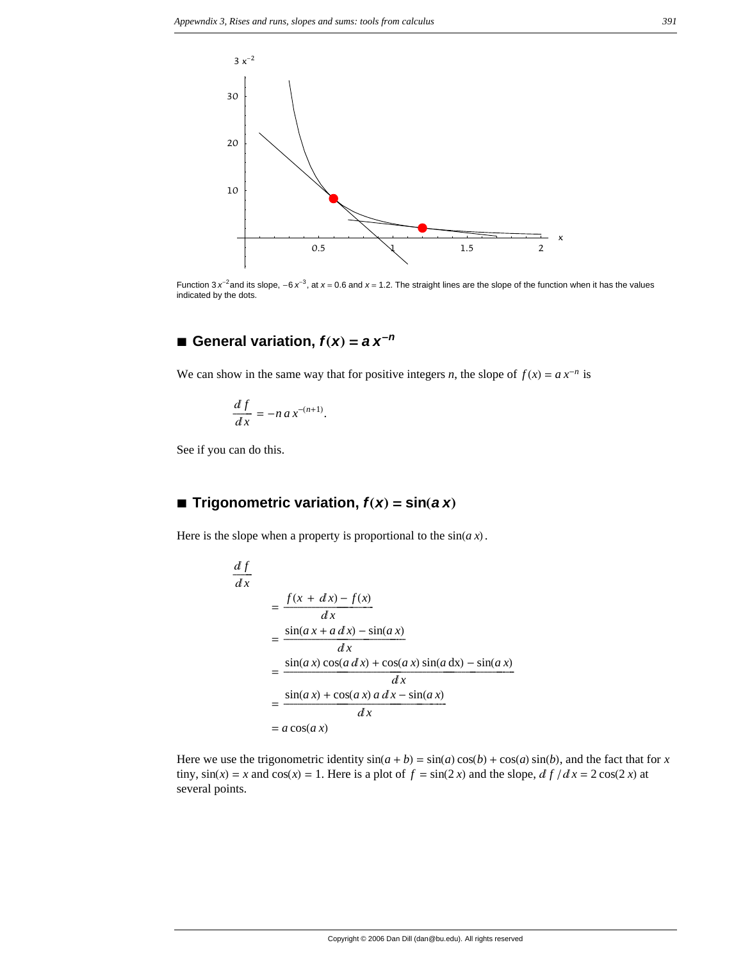

Function 3  $x^{-2}$  and its slope,  $-6x^{-3}$ , at  $x = 0.6$  and  $x = 1.2$ . The straight lines are the slope of the function when it has the values indicated by the dots.

## $\blacksquare$  General variation,  $f(x) = a x^{-n}$

We can show in the same way that for positive integers *n*, the slope of  $f(x) = a x^{-n}$  is

$$
\frac{df}{dx} = -n a x^{-(n+1)}.
$$

See if you can do this.

## $\blacksquare$  **Trigonometric variation,**  $f(x) = \sin(ax)$

Here is the slope when a property is proportional to the  $sin(a x)$ .

$$
\frac{df}{dx} = \frac{f(x + dx) - f(x)}{dx}
$$
  
= 
$$
\frac{\sin(ax + a dx) - \sin(ax)}{dx}
$$
  
= 
$$
\frac{\sin(ax)\cos(a dx) + \cos(ax)\sin(a dx) - \sin(ax)}{dx}
$$
  
= 
$$
\frac{\sin(ax) + \cos(ax) a dx - \sin(ax)}{dx}
$$
  
= 
$$
a \cos(ax)
$$

Here we use the trigonometric identity  $sin(a + b) = sin(a) cos(b) + cos(a) sin(b)$ , and the fact that for *x* tiny,  $sin(x) = x$  and  $cos(x) = 1$ . Here is a plot of  $f = sin(2x)$  and the slope,  $df/dx = 2 cos(2x)$  at several points.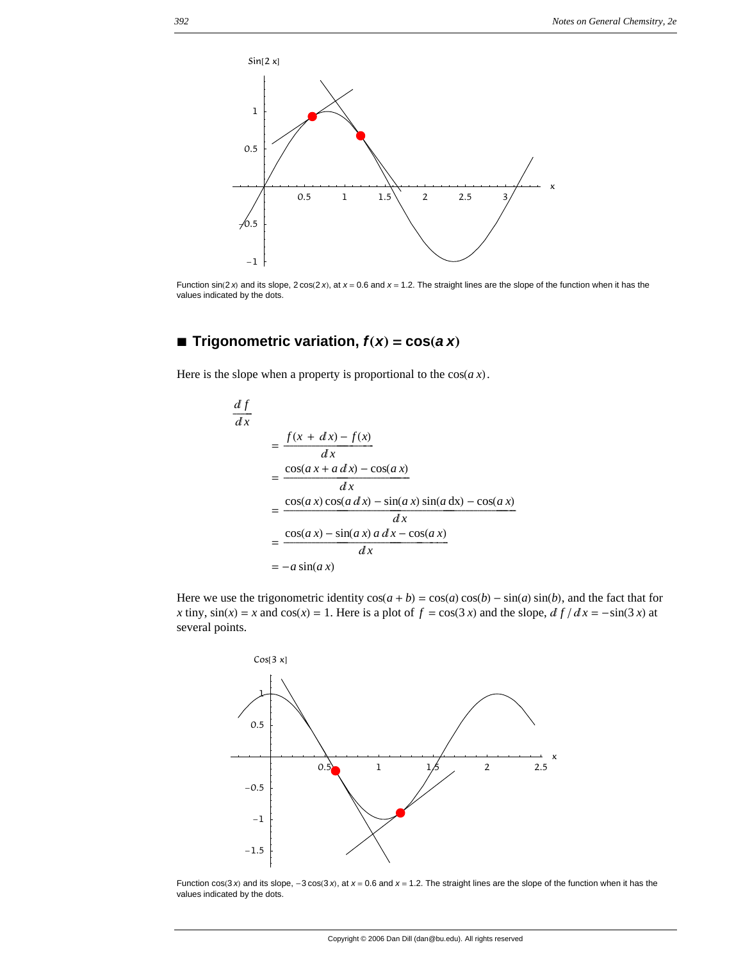

Function  $sin(2 x)$  and its slope,  $2 cos(2 x)$ , at  $x = 0.6$  and  $x = 1.2$ . The straight lines are the slope of the function when it has the values indicated by the dots.

## $\blacksquare$  **Trigonometric variation,**  $f(x) = \cos(a \, x)$

Here is the slope when a property is proportional to the  $cos(a x)$ .

$$
\frac{df}{dx} = \frac{f(x + dx) - f(x)}{dx}
$$
  
= 
$$
\frac{\cos(ax + a dx) - \cos(ax)}{dx}
$$
  
= 
$$
\frac{\cos(ax)\cos(a dx) - \sin(ax)\sin(a dx) - \cos(ax)}{dx}
$$
  
= 
$$
\frac{\cos(ax) - \sin(ax) a dx - \cos(ax)}{dx}
$$
  
= 
$$
-a\sin(ax)
$$

Here we use the trigonometric identity  $cos(a + b) = cos(a) cos(b) - sin(a) sin(b)$ , and the fact that for *x* tiny,  $sin(x) = x$  and  $cos(x) = 1$ . Here is a plot of  $f = cos(3x)$  and the slope,  $df/dx = -sin(3x)$  at several points.



Function  $cos(3 x)$  and its slope,  $-3 cos(3 x)$ , at  $x = 0.6$  and  $x = 1.2$ . The straight lines are the slope of the function when it has the values indicated by the dots.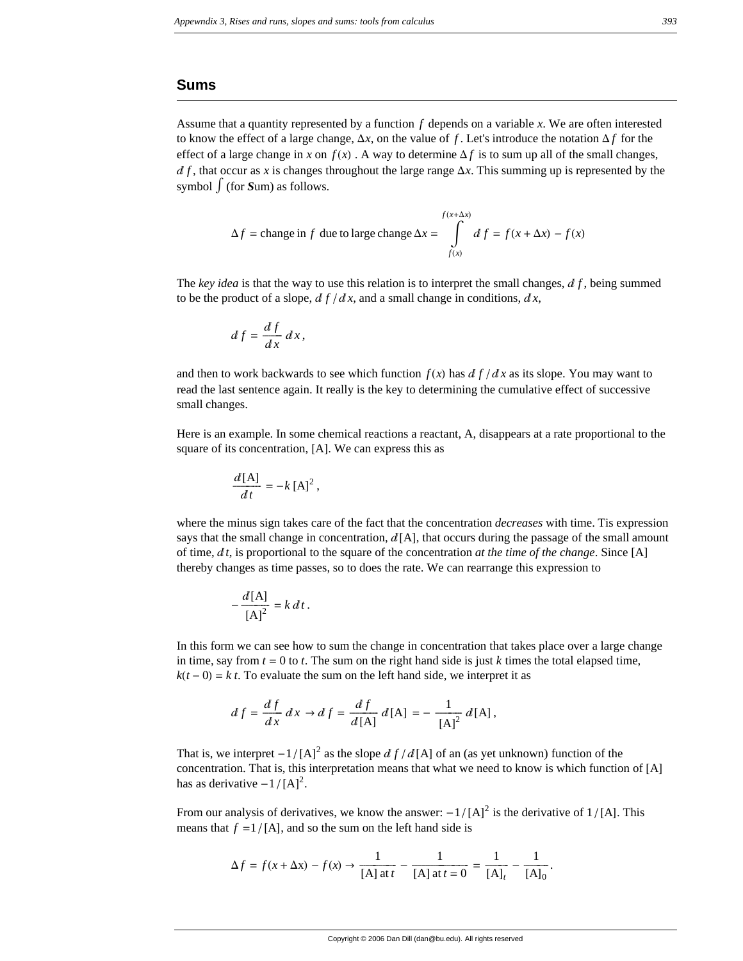#### **Sums**

Assume that a quantity represented by a function *f* depends on a variable *x*. We are often interested to know the effect of a large change,  $\Delta x$ , on the value of f. Let's introduce the notation  $\Delta f$  for the effect of a large change in *x* on  $f(x)$ . A way to determine  $\Delta f$  is to sum up all of the small changes,  $df$ , that occur as x is changes throughout the large range  $\Delta x$ . This summing up is represented by the symbol  $\int$  (for *Sum*) as follows.

$$
\Delta f = \text{change in } f \text{ due to large change } \Delta x = \int_{f(x)}^{f(x + \Delta x)} df = f(x + \Delta x) - f(x)
$$

The *key idea* is that the way to use this relation is to interpret the small changes,  $df$ , being summed to be the product of a slope,  $df/dx$ , and a small change in conditions,  $dx$ ,

$$
df = \frac{df}{dx} dx,
$$

and then to work backwards to see which function  $f(x)$  has  $df/dx$  as its slope. You may want to read the last sentence again. It really is the key to determining the cumulative effect of successive small changes.

Here is an example. In some chemical reactions a reactant, A, disappears at a rate proportional to the square of its concentration, [A]. We can express this as

$$
\frac{d\left[\mathbf{A}\right]}{dt} = -k\left[\mathbf{A}\right]^2,
$$

where the minus sign takes care of the fact that the concentration *decreases* with time. Tis expression says that the small change in concentration,  $d[A]$ , that occurs during the passage of the small amount of time,  $dt$ , is proportional to the square of the concentration *at the time of the change*. Since [A] thereby changes as time passes, so to does the rate. We can rearrange this expression to

$$
-\frac{d[A]}{[A]^2} = k dt.
$$

In this form we can see how to sum the change in concentration that takes place over a large change in time, say from  $t = 0$  to  $t$ . The sum on the right hand side is just  $k$  times the total elapsed time,  $k(t-0) = k t$ . To evaluate the sum on the left hand side, we interpret it as

$$
df = \frac{df}{dx} dx \to df = \frac{df}{d[A]} d[A] = -\frac{1}{[A]^2} d[A],
$$

That is, we interpret  $-1/[A]^2$  as the slope  $df/d[A]$  of an (as yet unknown) function of the concentration. That is, this interpretation means that what we need to know is which function of  $[A]$ has as derivative  $-1/[A]^2$ .

From our analysis of derivatives, we know the answer:  $-1/[\text{A}]^2$  is the derivative of  $1/[\text{A}]$ . This means that  $f = 1/[\text{A}]$ , and so the sum on the left hand side is

$$
\Delta f = f(x + \Delta x) - f(x) \to \frac{1}{[A] \text{ at } t} - \frac{1}{[A] \text{ at } t = 0} = \frac{1}{[A]_t} - \frac{1}{[A]_0}.
$$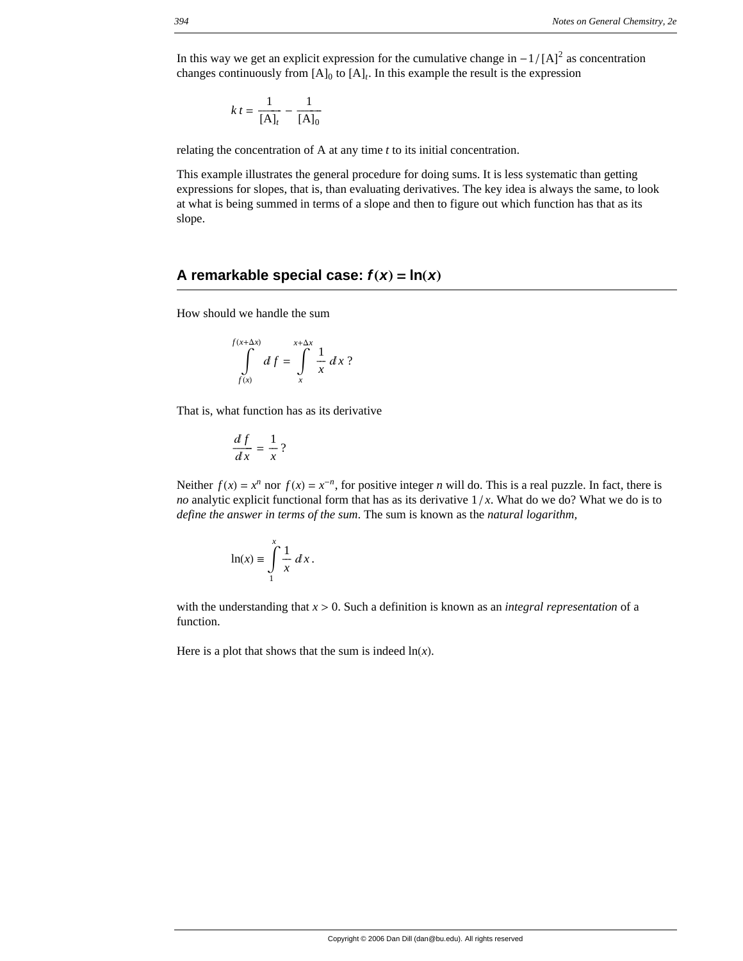In this way we get an explicit expression for the cumulative change in  $-1/[A]^2$  as concentration changes continuously from  $[A]_0$  to  $[A]_t$ . In this example the result is the expression

$$
k t = \frac{1}{[A]_t} - \frac{1}{[A]_0}
$$

relating the concentration of A at any time *t* to its initial concentration.

This example illustrates the general procedure for doing sums. It is less systematic than getting expressions for slopes, that is, than evaluating derivatives. The key idea is always the same, to look at what is being summed in terms of a slope and then to figure out which function has that as its slope.

### **A remarkable special case:**  $f(x) = \ln(x)$

How should we handle the sum

$$
\int_{f(x)}^{f(x+\Delta x)} df = \int_{x}^{x+\Delta x} \frac{1}{x} dx ?
$$

That is, what function has as its derivative

$$
\frac{df}{dx} = \frac{1}{x}?
$$

Neither  $f(x) = x^n$  nor  $f(x) = x^{-n}$ , for positive integer *n* will do. This is a real puzzle. In fact, there is *no* analytic explicit functional form that has as its derivative  $1/x$ . What do we do? What we do is to *define the answer in terms of the sum*. The sum is known as the *natural logarithm,*

$$
\ln(x) \equiv \int_{1}^{x} \frac{1}{x} \, dx \, .
$$

with the understanding that  $x > 0$ . Such a definition is known as an *integral representation* of a function.

Here is a plot that shows that the sum is indeed  $ln(x)$ .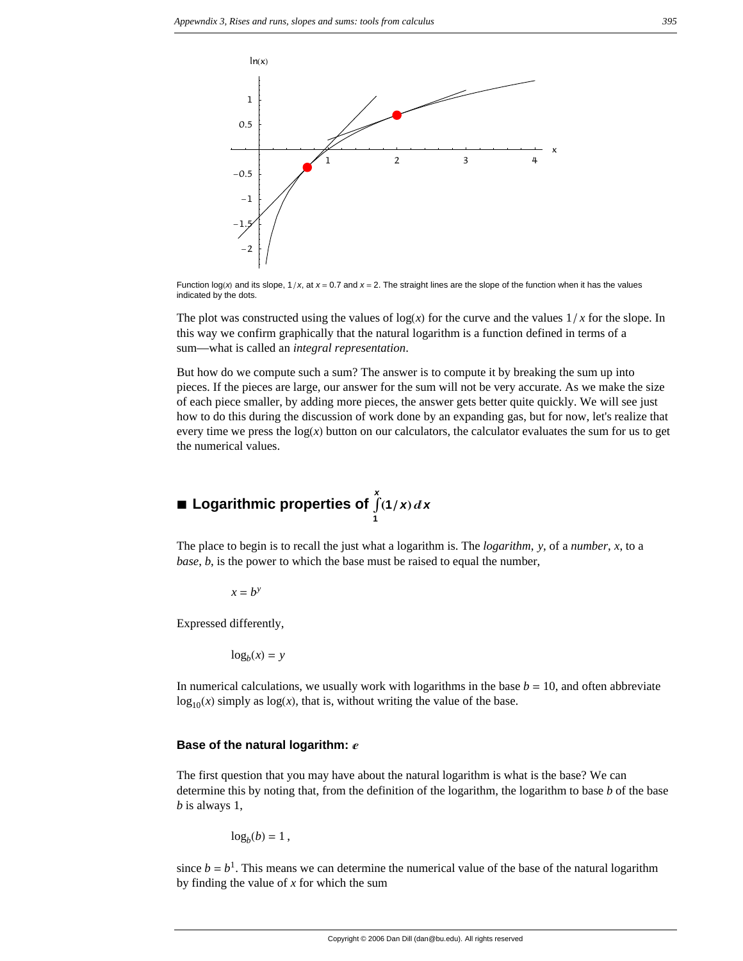

Function log(x) and its slope,  $1/x$ , at  $x = 0.7$  and  $x = 2$ . The straight lines are the slope of the function when it has the values indicated by the dots.

The plot was constructed using the values of  $log(x)$  for the curve and the values  $1/x$  for the slope. In this way we confirm graphically that the natural logarithm is a function defined in terms of a sum—what is called an *integral representation*.

But how do we compute such a sum? The answer is to compute it by breaking the sum up into pieces. If the pieces are large, our answer for the sum will not be very accurate. As we make the size of each piece smaller, by adding more pieces, the answer gets better quite quickly. We will see just how to do this during the discussion of work done by an expanding gas, but for now, let's realize that every time we press the  $log(x)$  button on our calculators, the calculator evaluates the sum for us to get the numerical values.

#### *x*  $\dot{A}$  (1 / **x**) d **x**

The place to begin is to recall the just what a logarithm is. The *logarithm*, *y*, of a *number*, *x*, to a *base*, *b*, is the power to which the base must be raised to equal the number,

 $x = b^y$ 

Expressed differently,

 $log_b(x) = y$ 

In numerical calculations, we usually work with logarithms in the base  $b = 10$ , and often abbreviate  $log_{10}(x)$  simply as  $log(x)$ , that is, without writing the value of the base.

#### **Base of the natural logarithm:** *e*

The first question that you may have about the natural logarithm is what is the base? We can determine this by noting that, from the definition of the logarithm, the logarithm to base *b* of the base *b* is always 1,

$$
\log_b(b)=1\,,
$$

since  $b = b<sup>1</sup>$ . This means we can determine the numerical value of the base of the natural logarithm by finding the value of *x* for which the sum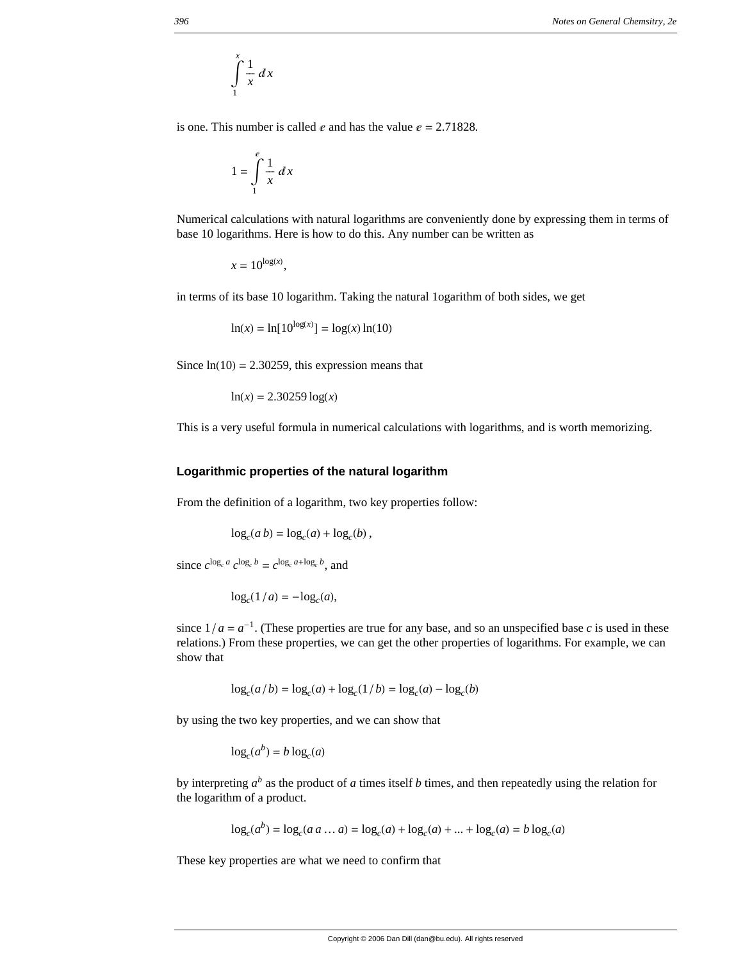$$
\int\limits_{1}^{x}\frac{1}{x}\,dx
$$

is one. This number is called  $e$  and has the value  $e = 2.71828$ .

$$
1 = \int_{1}^{e} \frac{1}{x} \, dx
$$

Numerical calculations with natural logarithms are conveniently done by expressing them in terms of base 10 logarithms. Here is how to do this. Any number can be written as

 $x = 10^{\log(x)}$ ,

in terms of its base 10 logarithm. Taking the natural 1ogarithm of both sides, we get

$$
\ln(x) = \ln[10^{\log(x)}] = \log(x)\ln(10)
$$

Since  $ln(10) = 2.30259$ , this expression means that

$$
\ln(x) = 2.30259 \log(x)
$$

This is a very useful formula in numerical calculations with logarithms, and is worth memorizing.

#### **Logarithmic properties of the natural logarithm**

From the definition of a logarithm, two key properties follow:

$$
\log_c(a b) = \log_c(a) + \log_c(b),
$$

since  $c^{\log_c a} c^{\log_c b} = c^{\log_c a + \log_c b}$  and

$$
\log_c(1/a) = -\log_c(a),
$$

since  $1/a = a^{-1}$ . (These properties are true for any base, and so an unspecified base *c* is used in these relations.) From these properties, we can get the other properties of logarithms. For example, we can show that

$$
\log_c(a/b) = \log_c(a) + \log_c(1/b) = \log_c(a) - \log_c(b)
$$

by using the two key properties, and we can show that

$$
\log_c(a^b) = b \log_c(a)
$$

by interpreting  $a^b$  as the product of *a* times itself *b* times, and then repeatedly using the relation for the logarithm of a product.

$$
\log_c(a^b) = \log_c(a \, a \dots a) = \log_c(a) + \log_c(a) + \dots + \log_c(a) = b \log_c(a)
$$

These key properties are what we need to confirm that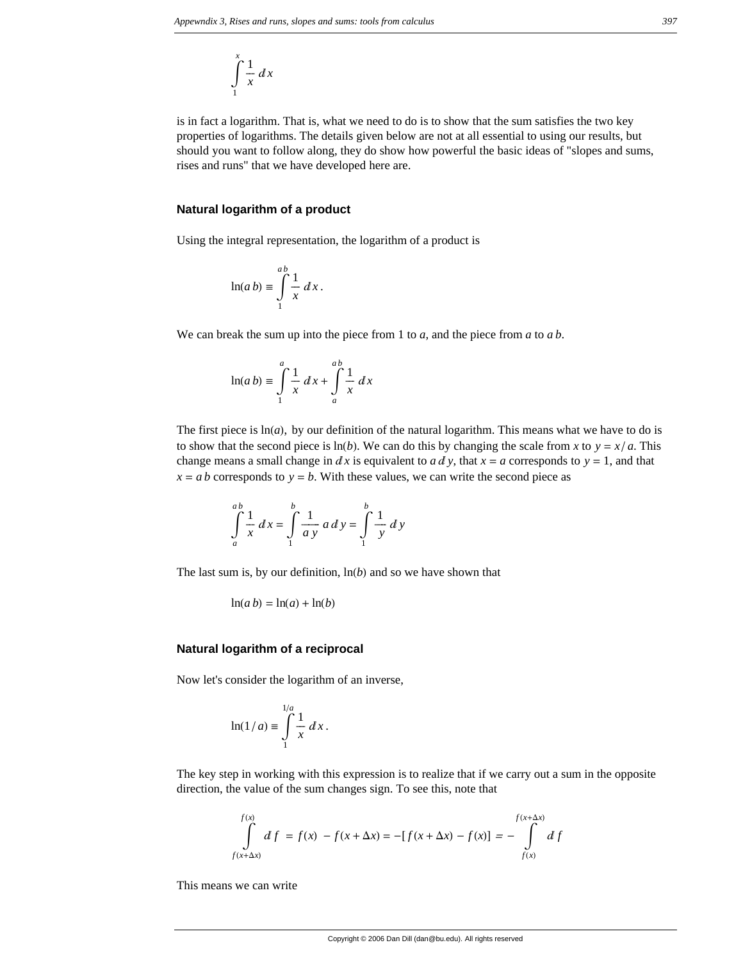$$
\int\limits_{1}^{x}\frac{1}{x}\,dx
$$

is in fact a logarithm. That is, what we need to do is to show that the sum satisfies the two key properties of logarithms. The details given below are not at all essential to using our results, but should you want to follow along, they do show how powerful the basic ideas of "slopes and sums, rises and runs" that we have developed here are.

#### **Natural logarithm of a product**

Using the integral representation, the logarithm of a product is

$$
\ln(a b) \equiv \int_{1}^{ab} \frac{1}{x} dx.
$$

We can break the sum up into the piece from 1 to *a*, and the piece from *a* to *a b*.

$$
\ln(a b) \equiv \int_{1}^{a} \frac{1}{x} dx + \int_{a}^{a b} \frac{1}{x} dx
$$

The first piece is  $ln(a)$ , by our definition of the natural logarithm. This means what we have to do is to show that the second piece is  $\ln(b)$ . We can do this by changing the scale from *x* to  $y = x/a$ . This change means a small change in  $dx$  is equivalent to  $a \, dy$ , that  $x = a$  corresponds to  $y = 1$ , and that  $x = a b$  corresponds to  $y = b$ . With these values, we can write the second piece as

$$
\int_{a}^{ab} \frac{1}{x} dx = \int_{1}^{b} \frac{1}{a y} a dy = \int_{1}^{b} \frac{1}{y} dy
$$

The last sum is, by our definition,  $\ln(b)$  and so we have shown that

$$
\ln(a\,b) = \ln(a) + \ln(b)
$$

#### **Natural logarithm of a reciprocal**

Now let's consider the logarithm of an inverse,

$$
\ln(1/a) \equiv \int_{1}^{1/a} \frac{1}{x} dx.
$$

The key step in working with this expression is to realize that if we carry out a sum in the opposite direction, the value of the sum changes sign. To see this, note that

$$
\int_{f(x+\Delta x)}^{f(x)} df = f(x) - f(x+\Delta x) = -[f(x+\Delta x) - f(x)] = -\int_{f(x)}^{f(x+\Delta x)} df
$$

This means we can write